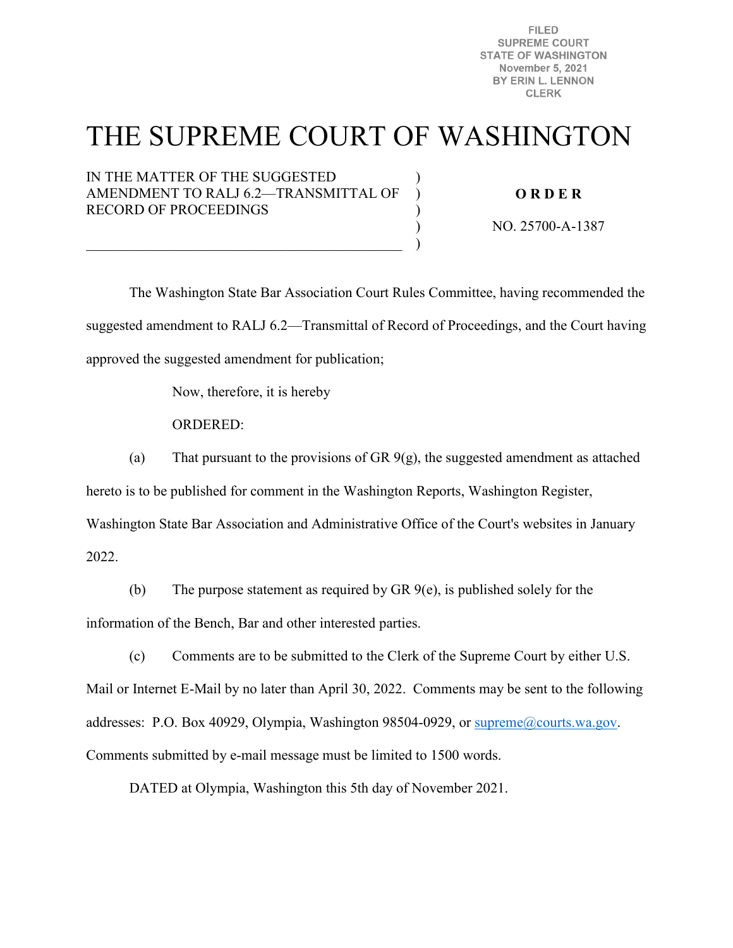**FILED SUPREME COURT STATE OF WASHINGTON November 5, 2021** BY ERIN L. LENNON **CLERK** 

# THE SUPREME COURT OF WASHINGTON

)  $\lambda$  $\lambda$ ) )

IN THE MATTER OF THE SUGGESTED AMENDMENT TO RALJ 6.2—TRANSMITTAL OF RECORD OF PROCEEDINGS

 $\overline{\mathcal{L}}$  , and the contribution of the contribution of  $\overline{\mathcal{L}}$ 

### **O R D E R**

NO. 25700-A-1387

The Washington State Bar Association Court Rules Committee, having recommended the suggested amendment to RALJ 6.2—Transmittal of Record of Proceedings, and the Court having approved the suggested amendment for publication;

Now, therefore, it is hereby

ORDERED:

(a) That pursuant to the provisions of GR  $9(g)$ , the suggested amendment as attached

hereto is to be published for comment in the Washington Reports, Washington Register,

Washington State Bar Association and Administrative Office of the Court's websites in January

2022.

(b) The purpose statement as required by GR 9(e), is published solely for the information of the Bench, Bar and other interested parties.

(c) Comments are to be submitted to the Clerk of the Supreme Court by either U.S. Mail or Internet E-Mail by no later than April 30, 2022. Comments may be sent to the following addresses: P.O. Box 40929, Olympia, Washington 98504-0929, or [supreme@courts.wa.gov.](mailto:supreme@courts.wa.gov) Comments submitted by e-mail message must be limited to 1500 words.

DATED at Olympia, Washington this 5th day of November 2021.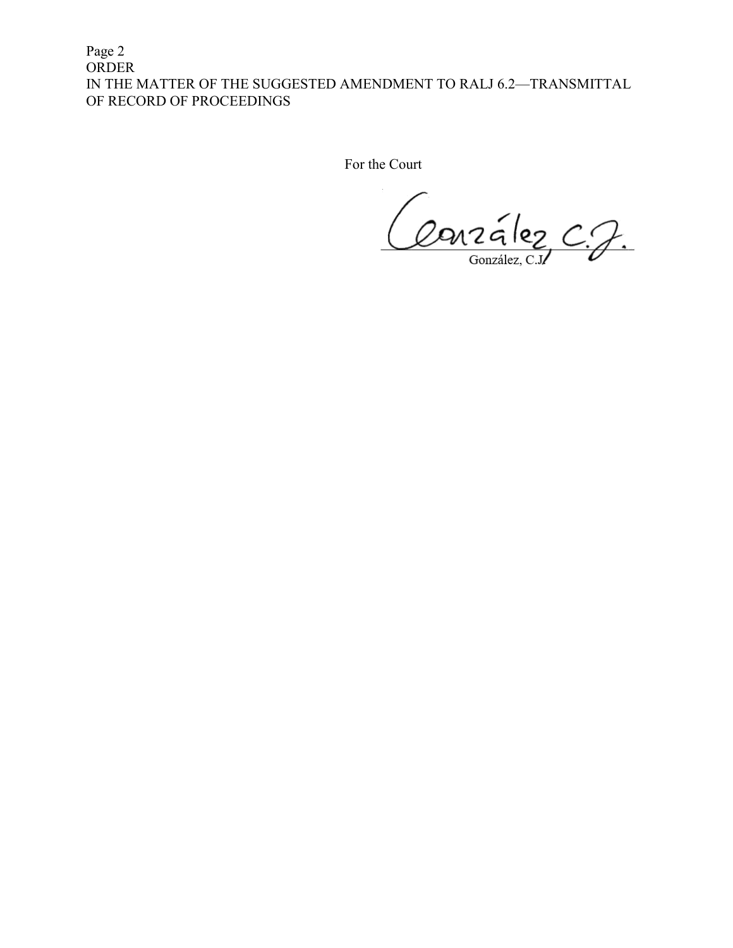Page 2 ORDER IN THE MATTER OF THE SUGGESTED AMENDMENT TO RALJ 6.2—TRANSMITTAL OF RECORD OF PROCEEDINGS

For the Court

Conzélez C.J.